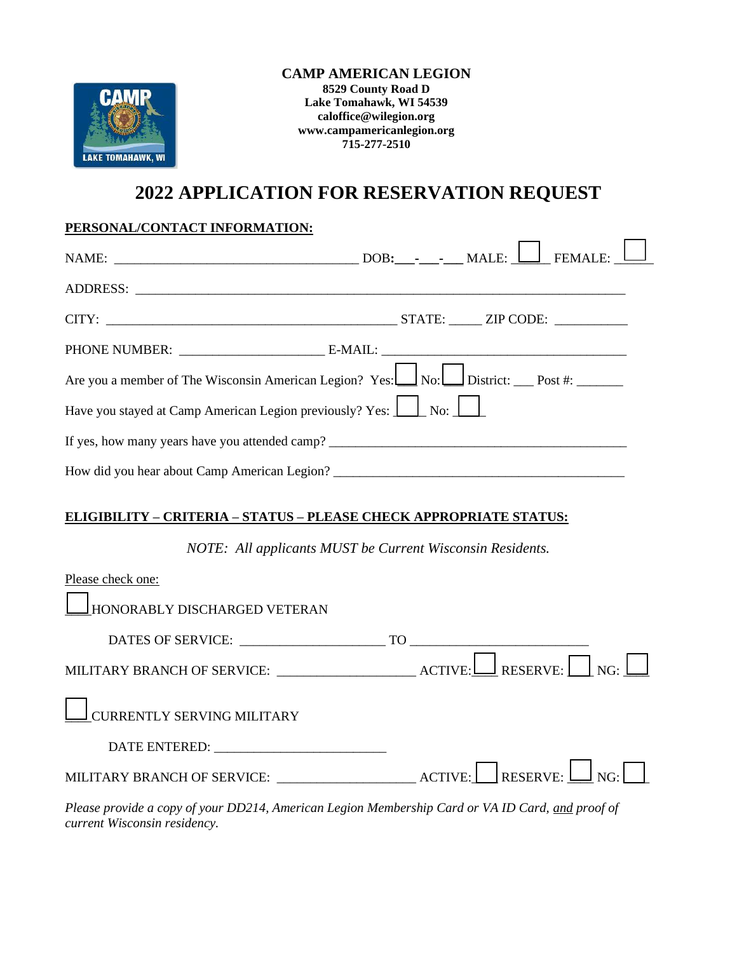

#### **CAMP AMERICAN LEGION 8529 County Road D Lake Tomahawk, WI 54539 [caloffice@wilegion.org](mailto:caloffice@wilegion.org) [www.campamericanlegion.org](http://www.campamericanlegion.org/) 715-277-2510**

# **2022 APPLICATION FOR RESERVATION REQUEST**

## **PERSONAL/CONTACT INFORMATION:**

| Are you a member of The Wisconsin American Legion? Yes: $\boxed{\underline{\hspace{1cm}}$ No: $\boxed{\hspace{1cm}}$ District: $\boxed{\hspace{1cm}}$ Post #: |  |  |  |
|---------------------------------------------------------------------------------------------------------------------------------------------------------------|--|--|--|
| Have you stayed at Camp American Legion previously? Yes: No: No:                                                                                              |  |  |  |
|                                                                                                                                                               |  |  |  |
|                                                                                                                                                               |  |  |  |

### **ELIGIBILITY – CRITERIA – STATUS – PLEASE CHECK APPROPRIATE STATUS:**

*NOTE: All applicants MUST be Current Wisconsin Residents.*

| Please check one:                                                                                                                                      |  |
|--------------------------------------------------------------------------------------------------------------------------------------------------------|--|
| HONORABLY DISCHARGED VETERAN                                                                                                                           |  |
|                                                                                                                                                        |  |
| MILITARY BRANCH OF SERVICE: ___________________________ACTIVE: $\boxed{\underline{\qquad}}$ RESERVE: $\boxed{\qquad}$ NG: $\boxed{\underline{\qquad}}$ |  |
| $\Box$ CURRENTLY SERVING MILITARY                                                                                                                      |  |
| DATE ENTERED:                                                                                                                                          |  |
| MILITARY BRANCH OF SERVICE: ________________________ACTIVE: RESERVE: $\boxed{\underline{\qquad}}$ NG:                                                  |  |
| Please provide a copy of your DD214, American Legion Membership Card or VA ID Card, and proof of                                                       |  |

*current Wisconsin residency.*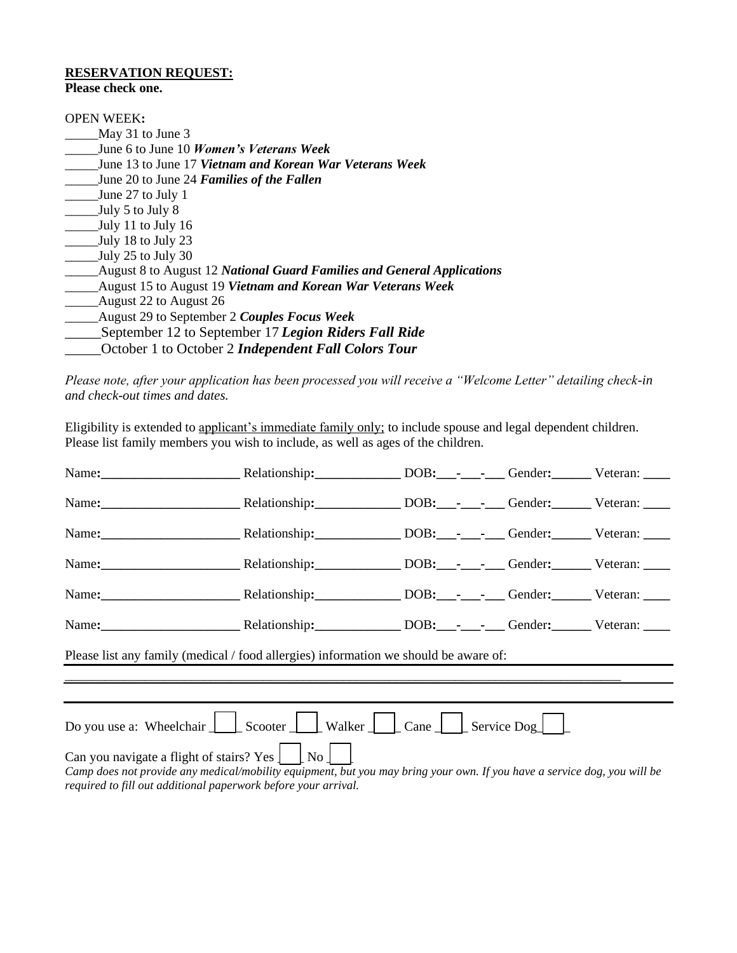# **RESERVATION REQUEST:**

**Please check one.**

| <b>OPEN WEEK:</b>                                                      |
|------------------------------------------------------------------------|
| May 31 to June 3                                                       |
| June 6 to June 10 <i>Women's Veterans Week</i>                         |
| June 13 to June 17 Vietnam and Korean War Veterans Week                |
| June 20 to June 24 Families of the Fallen                              |
| June 27 to July 1                                                      |
| July 5 to July 8                                                       |
| July 11 to July 16                                                     |
| July 18 to July 23                                                     |
| July 25 to July 30                                                     |
| August 8 to August 12 National Guard Families and General Applications |
| August 15 to August 19 Vietnam and Korean War Veterans Week            |
| August 22 to August 26                                                 |
| August 29 to September 2 Couples Focus Week                            |
| September 12 to September 17 Legion Riders Fall Ride                   |
| October 1 to October 2 <b>Independent Fall Colors Tour</b>             |

*Please note, after your application has been processed you will receive a "Welcome Letter" detailing check-in and check-out times and dates.*

Eligibility is extended to applicant's immediate family only; to include spouse and legal dependent children. Please list family members you wish to include, as well as ages of the children.

| Name: Relationship: DOB: ---- Gender: Veteran:                                                                                                                                                                                                                                                                                                                                                                                       |  |  |  |  |  |
|--------------------------------------------------------------------------------------------------------------------------------------------------------------------------------------------------------------------------------------------------------------------------------------------------------------------------------------------------------------------------------------------------------------------------------------|--|--|--|--|--|
| Name: Name: Nelationship: Nelationship: DOB: Process Cender: Veteran:                                                                                                                                                                                                                                                                                                                                                                |  |  |  |  |  |
| Name: Neteran: Relationship: DOB: DEC: Cender: Veteran:                                                                                                                                                                                                                                                                                                                                                                              |  |  |  |  |  |
| Name: Neteran: Relationship: DOB: Public Center: Veteran:                                                                                                                                                                                                                                                                                                                                                                            |  |  |  |  |  |
| Name: Name: Nelationship: DOB: DEE: Gender: Veteran:                                                                                                                                                                                                                                                                                                                                                                                 |  |  |  |  |  |
| Name: Nelationship: DOB: - Cender: Veteran:                                                                                                                                                                                                                                                                                                                                                                                          |  |  |  |  |  |
| Please list any family (medical / food allergies) information we should be aware of:                                                                                                                                                                                                                                                                                                                                                 |  |  |  |  |  |
|                                                                                                                                                                                                                                                                                                                                                                                                                                      |  |  |  |  |  |
| Do you use a: Wheelchair $\Box$ Scooter $\Box$ Walker $\Box$ Cane $\Box$ Service Dog $\Box$<br>Can you navigate a flight of stairs? Yes $\left  \begin{array}{c} \end{array} \right $ No $\left  \begin{array}{c} \end{array} \right $<br>Camp does not provide any medical/mobility equipment, but you may bring your own. If you have a service dog, you will be<br>required to fill out additional paperwork before your arrival. |  |  |  |  |  |